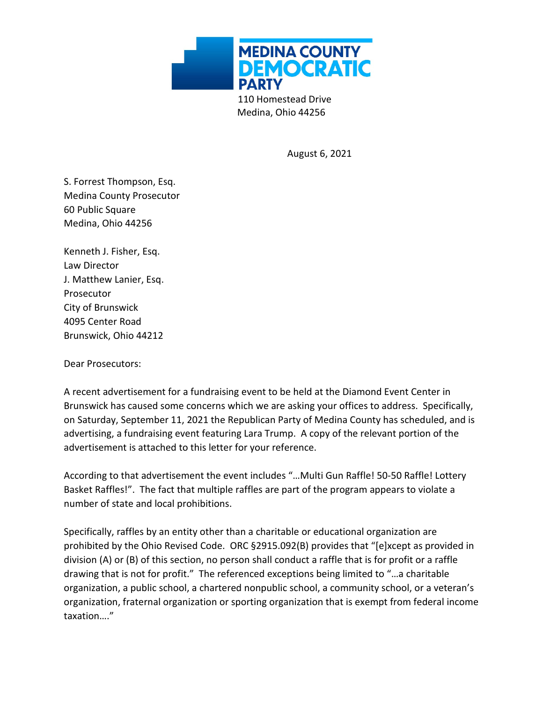

Medina, Ohio 44256

August 6, 2021

S. Forrest Thompson, Esq. Medina County Prosecutor 60 Public Square Medina, Ohio 44256

Kenneth J. Fisher, Esq. Law Director J. Matthew Lanier, Esq. Prosecutor City of Brunswick 4095 Center Road Brunswick, Ohio 44212

Dear Prosecutors:

A recent advertisement for a fundraising event to be held at the Diamond Event Center in Brunswick has caused some concerns which we are asking your offices to address. Specifically, on Saturday, September 11, 2021 the Republican Party of Medina County has scheduled, and is advertising, a fundraising event featuring Lara Trump. A copy of the relevant portion of the advertisement is attached to this letter for your reference.

According to that advertisement the event includes "…Multi Gun Raffle! 50-50 Raffle! Lottery Basket Raffles!". The fact that multiple raffles are part of the program appears to violate a number of state and local prohibitions.

Specifically, raffles by an entity other than a charitable or educational organization are prohibited by the Ohio Revised Code. ORC §2915.092(B) provides that "[e]xcept as provided in division (A) or (B) of this section, no person shall conduct a raffle that is for profit or a raffle drawing that is not for profit." The referenced exceptions being limited to "…a charitable organization, a public school, a chartered nonpublic school, a community school, or a veteran's organization, fraternal organization or sporting organization that is exempt from federal income taxation…."